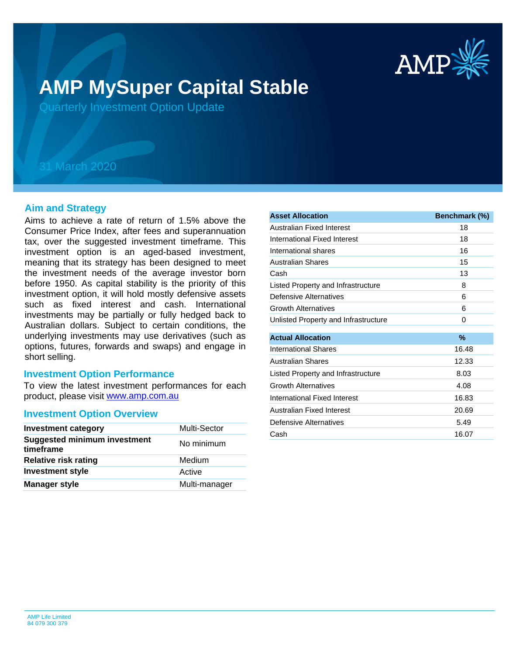

# **AMP MySuper Capital Stable**

Quarterly Investment Option Update

## 31 March 2020

## **Aim and Strategy**

Aims to achieve a rate of return of 1.5% above the Consumer Price Index, after fees and superannuation tax, over the suggested investment timeframe. This investment option is an aged-based investment, meaning that its strategy has been designed to meet the investment needs of the average investor born before 1950. As capital stability is the priority of this investment option, it will hold mostly defensive assets such as fixed interest and cash. International investments may be partially or fully hedged back to Australian dollars. Subject to certain conditions, the underlying investments may use derivatives (such as options, futures, forwards and swaps) and engage in short selling.

## **Investment Option Performance**

product, please visit [www.amp.com.au](https://www.amp.com.au) To view the latest investment performances for each

### **Investment Option Overview**

| <b>Investment category</b>                       | Multi-Sector  |
|--------------------------------------------------|---------------|
| <b>Suggested minimum investment</b><br>timeframe | No minimum    |
| <b>Relative risk rating</b>                      | Medium        |
| <b>Investment style</b>                          | Active        |
| <b>Manager style</b>                             | Multi-manager |

| <b>Asset Allocation</b>              | Benchmark (%) |
|--------------------------------------|---------------|
| Australian Fixed Interest            | 18            |
| International Fixed Interest         | 18            |
| International shares                 | 16            |
| <b>Australian Shares</b>             | 15            |
| Cash                                 | 13            |
| Listed Property and Infrastructure   | 8             |
| Defensive Alternatives               | 6             |
| <b>Growth Alternatives</b>           | 6             |
| Unlisted Property and Infrastructure | 0             |
|                                      |               |
| <b>Actual Allocation</b>             | %             |
| International Shares                 | 16.48         |
| Australian Shares                    | 12.33         |
| Listed Property and Infrastructure   | 8.03          |
| <b>Growth Alternatives</b>           | 4.08          |
| International Fixed Interest         | 16.83         |
| Australian Fixed Interest            | 20.69         |
| Defensive Alternatives               | 5.49          |
| Cash                                 | 16.07         |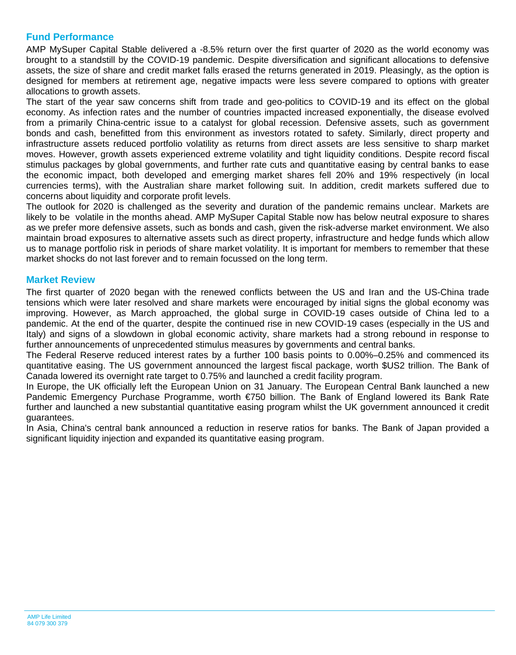## **Fund Performance**

AMP MySuper Capital Stable delivered a -8.5% return over the first quarter of 2020 as the world economy was brought to a standstill by the COVID-19 pandemic. Despite diversification and significant allocations to defensive assets, the size of share and credit market falls erased the returns generated in 2019. Pleasingly, as the option is designed for members at retirement age, negative impacts were less severe compared to options with greater allocations to growth assets.

The start of the year saw concerns shift from trade and geo-politics to COVID-19 and its effect on the global economy. As infection rates and the number of countries impacted increased exponentially, the disease evolved from a primarily China-centric issue to a catalyst for global recession. Defensive assets, such as government bonds and cash, benefitted from this environment as investors rotated to safety. Similarly, direct property and infrastructure assets reduced portfolio volatility as returns from direct assets are less sensitive to sharp market moves. However, growth assets experienced extreme volatility and tight liquidity conditions. Despite record fiscal stimulus packages by global governments, and further rate cuts and quantitative easing by central banks to ease the economic impact, both developed and emerging market shares fell 20% and 19% respectively (in local currencies terms), with the Australian share market following suit. In addition, credit markets suffered due to concerns about liquidity and corporate profit levels.

The outlook for 2020 is challenged as the severity and duration of the pandemic remains unclear. Markets are likely to be volatile in the months ahead. AMP MySuper Capital Stable now has below neutral exposure to shares as we prefer more defensive assets, such as bonds and cash, given the risk-adverse market environment. We also maintain broad exposures to alternative assets such as direct property, infrastructure and hedge funds which allow us to manage portfolio risk in periods of share market volatility. It is important for members to remember that these market shocks do not last forever and to remain focussed on the long term.

## **Market Review**

The first quarter of 2020 began with the renewed conflicts between the US and Iran and the US-China trade tensions which were later resolved and share markets were encouraged by initial signs the global economy was improving. However, as March approached, the global surge in COVID-19 cases outside of China led to a pandemic. At the end of the quarter, despite the continued rise in new COVID-19 cases (especially in the US and Italy) and signs of a slowdown in global economic activity, share markets had a strong rebound in response to further announcements of unprecedented stimulus measures by governments and central banks.

The Federal Reserve reduced interest rates by a further 100 basis points to 0.00%–0.25% and commenced its quantitative easing. The US government announced the largest fiscal package, worth \$US2 trillion. The Bank of Canada lowered its overnight rate target to 0.75% and launched a credit facility program.

In Europe, the UK officially left the European Union on 31 January. The European Central Bank launched a new Pandemic Emergency Purchase Programme, worth €750 billion. The Bank of England lowered its Bank Rate further and launched a new substantial quantitative easing program whilst the UK government announced it credit guarantees.

In Asia, China's central bank announced a reduction in reserve ratios for banks. The Bank of Japan provided a significant liquidity injection and expanded its quantitative easing program.